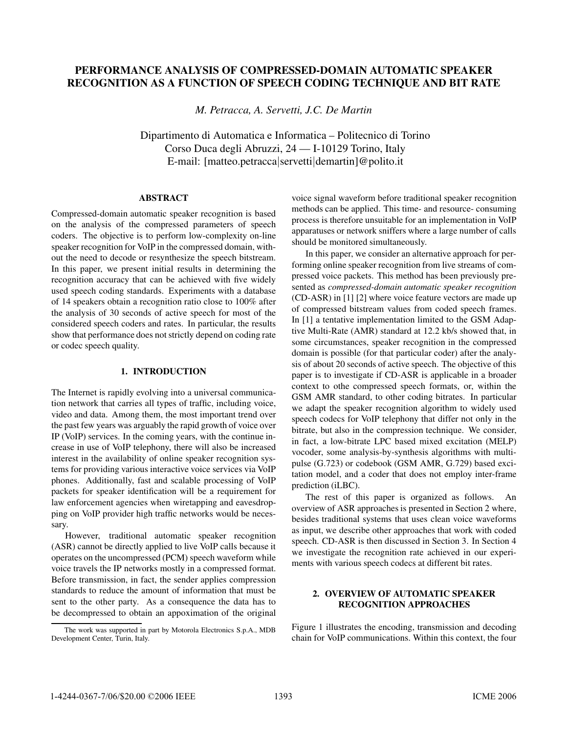### PERFORMANCE ANALYSIS OF COMPRESSED-DOMAIN AUTOMATIC SPEAKER RECOGNITION AS A FUNCTION OF SPEECH CODING TECHNIQUE AND BIT RATE

*M. Petracca, A. Servetti, J.C. De Martin*

Dipartimento di Automatica e Informatica – Politecnico di Torino Corso Duca degli Abruzzi, 24 — I-10129 Torino, Italy E-mail: [matteo.petracca|servetti|demartin]@polito.it

### **ABSTRACT** ABSTRACT

Compressed-domain automatic speaker recognition is based on the analysis of the compressed parameters of speech coders. The objective is to perform low-complexity on-line speaker recognition for VoIP in the compressed domain, without the need to decode or resynthesize the speech bitstream. In this paper, we present initial results in determining the recognition accuracy that can be achieved with five widely used speech coding standards. Experiments with a database of 14 speakers obtain a recognition ratio close to 100% after the analysis of 30 seconds of active speech for most of the considered speech coders and rates. In particular, the results show that performance does not strictly depend on coding rate or codec speech quality.

# 1. <del>INTRODUCTION</del>

The Internet is rapidly evolving into a universal communication network that carries all types of traffic, including voice, video and data. Among them, the most important trend over the past few years was arguably the rapid growth of voice over IP (VoIP) services. In the coming years, with the continue increase in use of VoIP telephony, there will also be increased interest in the availability of online speaker recognition systems for providing various interactive voice services via VoIP phones. Additionally, fast and scalable processing of VoIP packets for speaker identification will be a requirement for law enforcement agencies when wiretapping and eavesdropping on VoIP provider high traffic networks would be necessary.

However, traditional automatic speaker recognition (ASR) cannot be directly applied to live VoIP calls because it operates on the uncompressed (PCM) speech waveform while voice travels the IP networks mostly in a compressed format. Before transmission, in fact, the sender applies compression standards to reduce the amount of information that must be sent to the other party. As a consequence the data has to be decompressed to obtain an appoximation of the original voice signal waveform before traditional speaker recognition methods can be applied. This time- and resource- consuming process is therefore unsuitable for an implementation in VoIP apparatuses or network sniffers where a large number of calls should be monitored simultaneously.

In this paper, we consider an alternative approach for performing online speaker recognition from live streams of compressed voice packets. This method has been previously presented as *compressed-domain automatic speaker recognition* (CD-ASR) in [1] [2] where voice feature vectors are made up of compressed bitstream values from coded speech frames. In [1] a tentative implementation limited to the GSM Adaptive Multi-Rate (AMR) standard at 12.2 kb/s showed that, in some circumstances, speaker recognition in the compressed domain is possible (for that particular coder) after the analysis of about 20 seconds of active speech. The objective of this paper is to investigate if CD-ASR is applicable in a broader context to othe compressed speech formats, or, within the GSM AMR standard, to other coding bitrates. In particular we adapt the speaker recognition algorithm to widely used speech codecs for VoIP telephony that differ not only in the bitrate, but also in the compression technique. We consider, in fact, a low-bitrate LPC based mixed excitation (MELP) vocoder, some analysis-by-synthesis algorithms with multipulse (G.723) or codebook (GSM AMR, G.729) based excitation model, and a coder that does not employ inter-frame prediction (iLBC).

The rest of this paper is organized as follows. An overview of ASR approaches is presented in Section 2 where, besides traditional systems that uses clean voice waveforms as input, we describe other approaches that work with coded speech. CD-ASR is then discussed in Section 3. In Section 4 we investigate the recognition rate achieved in our experiments with various speech codecs at different bit rates.

### 2. OVERVIEW OF AUTOMATIC SPEAKER RECOGNITION APPROACHES

Figure 1 illustrates the encoding, transmission and decoding chain for VoIP communications. Within this context, the four

The work was supported in part by Motorola Electronics S.p.A., MDB Development Center, Turin, Italy.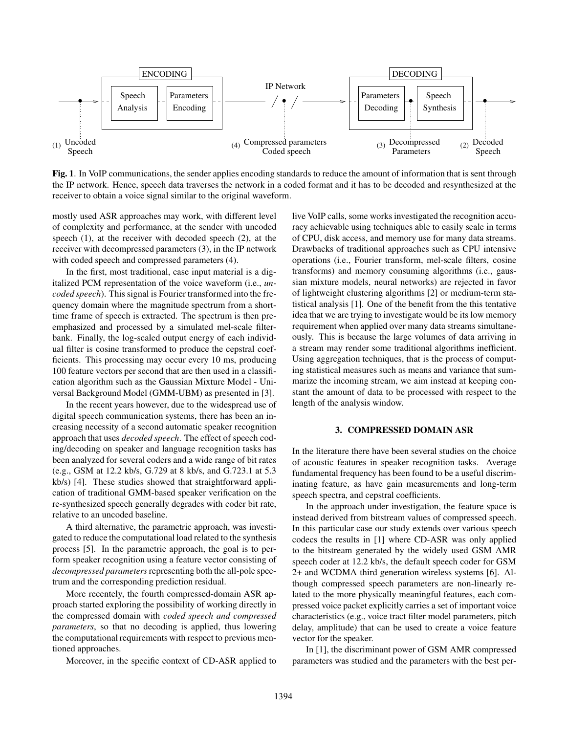

Fig. 1. In VoIP communications, the sender applies encoding standards to reduce the amount of information that is sent through the IP network. Hence, speech data traverses the network in a coded format and it has to be decoded and resynthesized at the receiver to obtain a voice signal similar to the original waveform.

mostly used ASR approaches may work, with different level of complexity and performance, at the sender with uncoded speech (1), at the receiver with decoded speech (2), at the receiver with decompressed parameters (3), in the IP network with coded speech and compressed parameters (4).

In the first, most traditional, case input material is a digitalized PCM representation of the voice waveform (i.e., *uncoded speech*). This signal is Fourier transformed into the frequency domain where the magnitude spectrum from a shorttime frame of speech is extracted. The spectrum is then preemphasized and processed by a simulated mel-scale filterbank. Finally, the log-scaled output energy of each individual filter is cosine transformed to produce the cepstral coefficients. This processing may occur every 10 ms, producing 100 feature vectors per second that are then used in a classification algorithm such as the Gaussian Mixture Model - Universal Background Model (GMM-UBM) as presented in [3].

In the recent years however, due to the widespread use of digital speech communication systems, there has been an increasing necessity of a second automatic speaker recognition approach that uses *decoded speech*. The effect of speech coding/decoding on speaker and language recognition tasks has been analyzed for several coders and a wide range of bit rates (e.g., GSM at 12.2 kb/s, G.729 at 8 kb/s, and G.723.1 at 5.3 kb/s) [4]. These studies showed that straightforward application of traditional GMM-based speaker verification on the re-synthesized speech generally degrades with coder bit rate, relative to an uncoded baseline.

A third alternative, the parametric approach, was investigated to reduce the computational load related to the synthesis process [5]. In the parametric approach, the goal is to perform speaker recognition using a feature vector consisting of *decompressed parameters*representing both the all-pole spectrum and the corresponding prediction residual.

More recentely, the fourth compressed-domain ASR approach started exploring the possibility of working directly in the compressed domain with *coded speech and compressed parameters*, so that no decoding is applied, thus lowering the computational requirements with respect to previous mentioned approaches.

Moreover, in the specific context of CD-ASR applied to

live VoIP calls, some works investigated the recognition accuracy achievable using techniques able to easily scale in terms of CPU, disk access, and memory use for many data streams. Drawbacks of traditional approaches such as CPU intensive operations (i.e., Fourier transform, mel-scale filters, cosine transforms) and memory consuming algorithms (i.e., gaussian mixture models, neural networks) are rejected in favor of lightweight clustering algorithms [2] or medium-term statistical analysis [1]. One of the benefit from the this tentative idea that we are trying to investigate would be its low memory requirement when applied over many data streams simultaneously. This is because the large volumes of data arriving in a stream may render some traditional algorithms inefficient. Using aggregation techniques, that is the process of computing statistical measures such as means and variance that summarize the incoming stream, we aim instead at keeping constant the amount of data to be processed with respect to the length of the analysis window.

## 3. COMPRESSED DOMAIN ASR

In the literature there have been several studies on the choice of acoustic features in speaker recognition tasks. Average fundamental frequency has been found to be a useful discriminating feature, as have gain measurements and long-term speech spectra, and cepstral coefficients.

In the approach under investigation, the feature space is instead derived from bitstream values of compressed speech. In this particular case our study extends over various speech codecs the results in [1] where CD-ASR was only applied to the bitstream generated by the widely used GSM AMR speech coder at 12.2 kb/s, the default speech coder for GSM 2+ and WCDMA third generation wireless systems [6]. Although compressed speech parameters are non-linearly related to the more physically meaningful features, each compressed voice packet explicitly carries a set of important voice characteristics (e.g., voice tract filter model parameters, pitch delay, amplitude) that can be used to create a voice feature vector for the speaker.

In [1], the discriminant power of GSM AMR compressed parameters was studied and the parameters with the best per-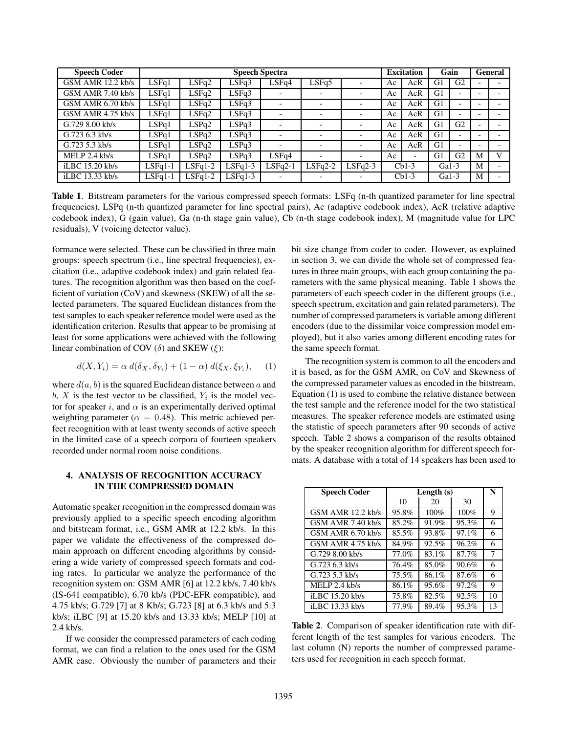| <b>Speech Coder</b> |           |           |           | <b>Speech Spectra</b> |                          |                          |    | <b>Excitation</b>        | Gain           |                          |   | General |  |
|---------------------|-----------|-----------|-----------|-----------------------|--------------------------|--------------------------|----|--------------------------|----------------|--------------------------|---|---------|--|
| GSM AMR 12.2 kb/s   | LSFq1     | LSFq2     | LSFq3     | LSFq4                 | LSFq5                    |                          | Aс | AcR                      | G <sub>1</sub> | G <sub>2</sub>           |   |         |  |
| GSM AMR 7.40 kb/s   | LSFq1     | LSFq2     | LSFq3     |                       |                          |                          | Ac | AcR                      | G1             | $\overline{\phantom{a}}$ |   |         |  |
| GSM AMR 6.70 kb/s   | LSFq1     | LSFq2     | LSFq3     |                       | $\overline{\phantom{0}}$ |                          | Ac | AcR                      | G1             | $\overline{\phantom{0}}$ |   |         |  |
| GSM AMR $4.75$ kb/s | LSFq1     | LSFq2     | LSFq3     |                       |                          | $\overline{\phantom{0}}$ | Ac | AcR                      | G <sub>1</sub> | $\overline{\phantom{0}}$ |   |         |  |
| $G.7298.00$ kb/s    | LSPq1     | LSPq2     | LSPq3     |                       |                          |                          | Ac | AcR                      | G1             | G <sub>2</sub>           |   |         |  |
| $G.7236.3$ kb/s     | LSPq1     | LSPq2     | LSPq3     |                       | $\overline{\phantom{0}}$ | $\overline{\phantom{0}}$ | Ac | AcR                      | G1             | $\overline{\phantom{0}}$ |   |         |  |
| $G.7235.3$ kb/s     | LSPq1     | LSPq2     | LSPq3     |                       |                          | $\overline{\phantom{a}}$ | Ac | AcR                      | G1             | $\overline{\phantom{0}}$ |   |         |  |
| MELP $2.4$ kb/s     | LSPq1     | LSPq2     | LSPq3     | LSFq4                 | ٠                        | $\overline{\phantom{a}}$ | Ac | $\overline{\phantom{a}}$ | G <sub>1</sub> | G <sub>2</sub>           | M | V       |  |
| iLBC 15.20 kb/s     | $LSFq1-1$ | $LSFq1-2$ | $LSFq1-3$ | $LSFq2-1$             | $LSFq2-2$                | $LSFq2-3$                |    | $Cb1-3$                  | $Ga1-3$        |                          | M |         |  |
| iLBC 13.33 kb/s     | $LSFq1-1$ | $LSFq1-2$ | $LSFq1-3$ |                       |                          | $\overline{\phantom{0}}$ |    | $Cb1-3$                  | $Ga1-3$        |                          | M |         |  |

Table 1. Bitstream parameters for the various compressed speech formats: LSFq (n-th quantized parameter for line spectral frequencies), LSPq (n-th quantized parameter for line spectral pairs), Ac (adaptive codebook index), AcR (relative adaptive codebook index), G (gain value), Ga (n-th stage gain value), Cb (n-th stage codebook index), M (magnitude value for LPC residuals), V (voicing detector value).

formance were selected. These can be classified in three main groups: speech spectrum (i.e., line spectral frequencies), excitation (i.e., adaptive codebook index) and gain related features. The recognition algorithm was then based on the coefficient of variation (CoV) and skewness (SKEW) of all the selected parameters. The squared Euclidean distances from the test samples to each speaker reference model were used as the identification criterion. Results that appear to be promising at least for some applications were achieved with the following linear combination of COV  $(\delta)$  and SKEW  $(\xi)$ :

$$
d(X, Y_i) = \alpha d(\delta_X, \delta_{Y_i}) + (1 - \alpha) d(\xi_X, \xi_{Y_i}), \quad (1)
$$

where  $d(a, b)$  is the squared Euclidean distance between a and b, X is the test vector to be classified,  $Y_i$  is the model vector for speaker i, and  $\alpha$  is an experimentally derived optimal weighting parameter ( $\alpha = 0.48$ ). This metric achieved perfect recognition with at least twenty seconds of active speech in the limited case of a speech corpora of fourteen speakers recorded under normal room noise conditions.

### **4. ANALYSIS OF RECOGNITION ACCURACY** IN THE COMPRESSED DOMAIN IN THE COMPRESSED DOMAIN

Automatic speaker recognition in the compressed domain was previously applied to a specific speech encoding algorithm and bitstream format, i.e., GSM AMR at 12.2 kb/s. In this paper we validate the effectiveness of the compressed domain approach on different encoding algorithms by considering a wide variety of compressed speech formats and coding rates. In particular we analyze the performance of the recognition system on: GSM AMR [6] at 12.2 kb/s, 7.40 kb/s (IS-641 compatible), 6.70 kb/s (PDC-EFR compatible), and 4.75 kb/s; G.729 [7] at 8 Kb/s; G.723 [8] at 6.3 kb/s and 5.3 kb/s; iLBC [9] at 15.20 kb/s and 13.33 kb/s; MELP [10] at 2.4 kb/s.

If we consider the compressed parameters of each coding format, we can find a relation to the ones used for the GSM AMR case. Obviously the number of parameters and their bit size change from coder to coder. However, as explained in section 3, we can divide the whole set of compressed features in three main groups, with each group containing the parameters with the same physical meaning. Table 1 shows the parameters of each speech coder in the different groups (i.e., speech spectrum, excitation and gain related parameters). The number of compressed parameters is variable among different encoders (due to the dissimilar voice compression model employed), but it also varies among different encoding rates for the same speech format.

The recognition system is common to all the encoders and it is based, as for the GSM AMR, on CoV and Skewness of the compressed parameter values as encoded in the bitstream. Equation (1) is used to combine the relative distance between the test sample and the reference model for the two statistical measures. The speaker reference models are estimated using the statistic of speech parameters after 90 seconds of active speech. Table 2 shows a comparison of the results obtained by the speaker recognition algorithm for different speech formats. A database with a total of 14 speakers has been used to

| <b>Speech Coder</b>   | Length $(s)$ | N     |       |    |
|-----------------------|--------------|-------|-------|----|
|                       | 10           | 20    | 30    |    |
| GSM AMR 12.2 kb/s     | 95.8%        | 100%  | 100%  | 9  |
| GSM AMR 7.40 kb/s     | 85.2%        | 91.9% | 95.3% | 6  |
| $GSM$ AMR $6.70$ kb/s | 85.5%        | 93.8% | 97.1% | 6  |
| $GSM$ AMR 4.75 kb/s   | 84.9%        | 92.5% | 96.2% | 6  |
| $G.7298.00$ kb/s      | 77.0%        | 83.1% | 87.7% | 7  |
| $G.7236.3$ kb/s       | 76.4%        | 85.0% | 90.6% | 6  |
| $G.72353$ kb/s        | 75.5%        | 86.1% | 87.6% | 6  |
| MELP $2.4$ kb/s       | 86.1%        | 95.6% | 97.2% | 9  |
| iLBC 15.20 kb/s       | 75.8%        | 82.5% | 92.5% | 10 |
| iLBC 13.33 kb/s       | 77.9%        | 89.4% | 95.3% | 13 |

Table 2. Comparison of speaker identification rate with different length of the test samples for various encoders. The last column (N) reports the number of compressed parameters used for recognition in each speech format.